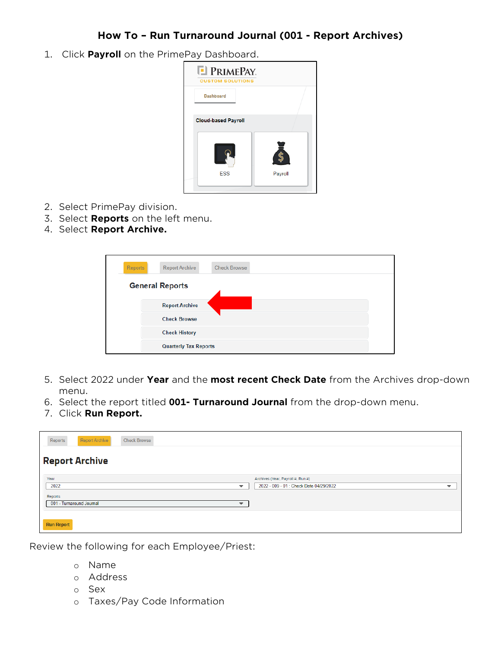## **How To – Run Turnaround Journal (001 - Report Archives)**

1. Click **Payroll** on the PrimePay Dashboard.



- 2. Select PrimePay division.
- 3. Select **Reports** on the left menu.
- 4. Select **Report Archive.**

| Reports                | <b>Check Browse</b><br><b>Report Archive</b> |  |
|------------------------|----------------------------------------------|--|
| <b>General Reports</b> |                                              |  |
|                        | <b>Report Archive</b>                        |  |
|                        | <b>Check Browse</b>                          |  |
|                        | <b>Check History</b>                         |  |
|                        | <b>Quarterly Tax Reports</b>                 |  |

- 5. Select 2022 under **Year** and the **most recent Check Date** from the Archives drop-down menu.
- 6. Select the report titled **001- Turnaround Journal** from the drop-down menu.
- 7. Click **Run Report.**

| Reports<br>Report Archive<br><b>Check Browse</b>     |                                                                     |  |  |
|------------------------------------------------------|---------------------------------------------------------------------|--|--|
| <b>Report Archive</b>                                |                                                                     |  |  |
| Year                                                 | Archives (Year, Payroll #, Run #)                                   |  |  |
| 2022<br>$\overline{\phantom{0}}$                     | 2022 - 009 - 01 : Check Date 04/29/2022<br>$\overline{\phantom{a}}$ |  |  |
| Reports                                              |                                                                     |  |  |
| 001 - Turnaround Journal<br>$\overline{\phantom{0}}$ |                                                                     |  |  |
|                                                      |                                                                     |  |  |
| <b>Run Report</b>                                    |                                                                     |  |  |

Review the following for each Employee/Priest:

- o Name
- o Address
- o Sex
- o Taxes/Pay Code Information